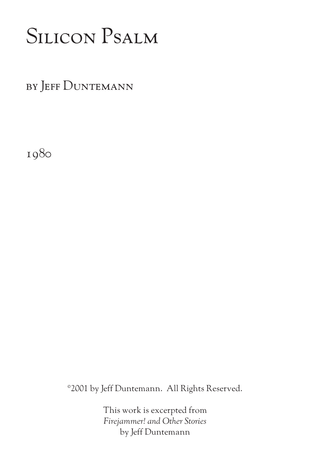## Silicon Psalm

by Jeff Duntemann

1980

©2001 by Jeff Duntemann. All Rights Reserved.

This work is excerpted from Firejammer! and Other Stories by Jeff Duntemann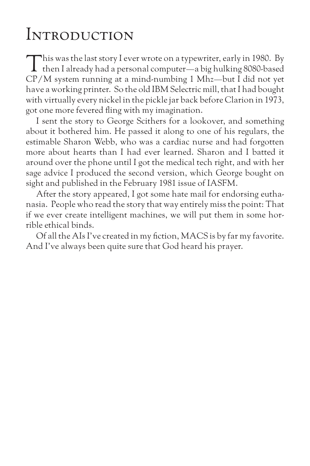## Introduction

This was the last story I ever wrote on a typewriter, early in 1980. By  $\perp$  then I already had a personal computer—a big hulking 8080-based CP/M system running at a mind-numbing 1 Mhz—but I did not yet have a working printer. So the old IBM Selectric mill, that I had bought with virtually every nickel in the pickle jar back before Clarion in 1973, got one more fevered fling with my imagination.

I sent the story to George Scithers for a lookover, and something about it bothered him. He passed it along to one of his regulars, the estimable Sharon Webb, who was a cardiac nurse and had forgotten more about hearts than I had ever learned. Sharon and I batted it around over the phone until I got the medical tech right, and with her sage advice I produced the second version, which George bought on sight and published in the February 1981 issue of IASFM.

After the story appeared, I got some hate mail for endorsing euthanasia. People who read the story that way entirely miss the point: That if we ever create intelligent machines, we will put them in some horrible ethical binds.

Of all the AIs I've created in my fiction, MACS is by far my favorite. And I've always been quite sure that God heard his prayer.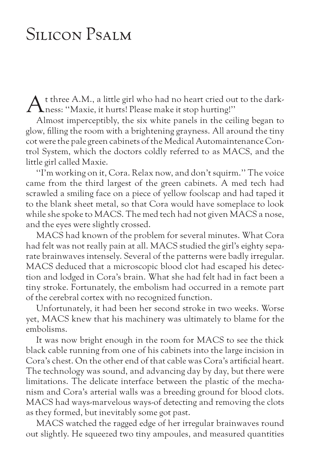## Silicon Psalm

At three A.M., a little girl who had no heart cried out to the dark-ness: "Maxie, it hurts! Please make it stop hurting!"

Almost imperceptibly, the six white panels in the ceiling began to glow, filling the room with a brightening grayness. All around the tiny cot were the pale green cabinets of the Medical Automaintenance Control System, which the doctors coldly referred to as MACS, and the little girl called Maxie.

"I'm working on it, Cora. Relax now, and don't squirm." The voice came from the third largest of the green cabinets. A med tech had scrawled a smiling face on a piece of yellow foolscap and had taped it to the blank sheet metal, so that Cora would have someplace to look while she spoke to MACS. The med tech had not given MACS a nose, and the eyes were slightly crossed.

MACS had known of the problem for several minutes. What Cora had felt was not really pain at all. MACS studied the girl's eighty separate brainwaves intensely. Several of the patterns were badly irregular. MACS deduced that a microscopic blood clot had escaped his detection and lodged in Cora's brain. What she had felt had in fact been a tiny stroke. Fortunately, the embolism had occurred in a remote part of the cerebral cortex with no recognized function.

Unfortunately, it had been her second stroke in two weeks. Worse yet, MACS knew that his machinery was ultimately to blame for the embolisms.

It was now bright enough in the room for MACS to see the thick black cable running from one of his cabinets into the large incision in Cora's chest. On the other end of that cable was Cora's artificial heart. The technology was sound, and advancing day by day, but there were limitations. The delicate interface between the plastic of the mechanism and Cora's arterial walls was a breeding ground for blood clots. MACS had ways-marvelous ways-of detecting and removing the clots as they formed, but inevitably some got past.

MACS watched the ragged edge of her irregular brainwaves round out slightly. He squeezed two tiny ampoules, and measured quantities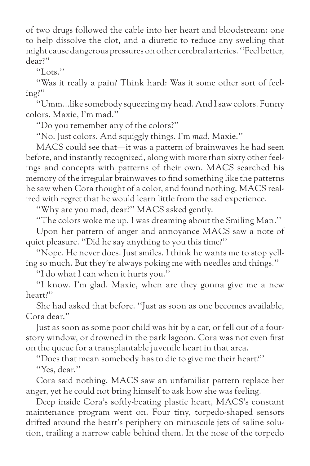of two drugs followed the cable into her heart and bloodstream: one to help dissolve the clot, and a diuretic to reduce any swelling that might cause dangerous pressures on other cerebral arteries. "Feel better, dear?"

"Lots."

"Was it really a pain? Think hard: Was it some other sort of feeling?"

"Umm…like somebody squeezing my head. And I saw colors. Funny colors. Maxie, I'm mad."

"Do you remember any of the colors?"

"No. Just colors. And squiggly things. I'm mad, Maxie."

MACS could see that—it was a pattern of brainwaves he had seen before, and instantly recognized, along with more than sixty other feelings and concepts with patterns of their own. MACS searched his memory of the irregular brainwaves to find something like the patterns he saw when Cora thought of a color, and found nothing. MACS realized with regret that he would learn little from the sad experience.

"Why are you mad, dear?" MACS asked gently.

"The colors woke me up. I was dreaming about the Smiling Man."

Upon her pattern of anger and annoyance MACS saw a note of quiet pleasure. "Did he say anything to you this time?"

"Nope. He never does. Just smiles. I think he wants me to stop yelling so much. But they're always poking me with needles and things."

"I do what I can when it hurts you."

"I know. I'm glad. Maxie, when are they gonna give me a new heart?"

She had asked that before. "Just as soon as one becomes available, Cora dear."

Just as soon as some poor child was hit by a car, or fell out of a fourstory window, or drowned in the park lagoon. Cora was not even first on the queue for a transplantable juvenile heart in that area.

"Does that mean somebody has to die to give me their heart?"

"Yes, dear."

Cora said nothing. MACS saw an unfamiliar pattern replace her anger, yet he could not bring himself to ask how she was feeling.

Deep inside Cora's softly-beating plastic heart, MACS's constant maintenance program went on. Four tiny, torpedo-shaped sensors drifted around the heart's periphery on minuscule jets of saline solution, trailing a narrow cable behind them. In the nose of the torpedo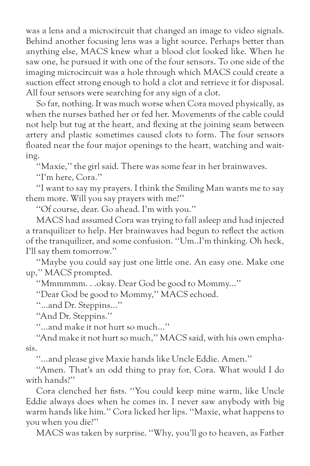was a lens and a microcircuit that changed an image to video signals. Behind another focusing lens was a light source. Perhaps better than anything else, MACS knew what a blood clot looked like. When he saw one, he pursued it with one of the four sensors. To one side of the imaging microcircuit was a hole through which MACS could create a suction effect strong enough to hold a clot and retrieve it for disposal. All four sensors were searching for any sign of a clot.

So far, nothing. It was much worse when Cora moved physically, as when the nurses bathed her or fed her. Movements of the cable could not help but tug at the heart, and flexing at the joining seam between artery and plastic sometimes caused clots to form. The four sensors floated near the four major openings to the heart, watching and waiting.

"Maxie," the girl said. There was some fear in her brainwaves.

"I'm here, Cora."

"I want to say my prayers. I think the Smiling Man wants me to say them more. Will you say prayers with me?"

"Of course, dear. Go ahead. I'm with you."

MACS had assumed Cora was trying to fall asleep and had injected a tranquilizer to help. Her brainwaves had begun to reflect the action of the tranquilizer, and some confusion. "Um..I'm thinking. Oh heck, I'll say them tomorrow."

"Maybe you could say just one little one. An easy one. Make one up," MACS prompted.

"Mmmmmm. . .okay. Dear God be good to Mommy..."

"Dear God be good to Mommy," MACS echoed.

"…and Dr. Steppins..."

"And Dr. Steppins."

"…and make it not hurt so much..."

"And make it not hurt so much," MACS said, with his own emphasis.

"...and please give Maxie hands like Uncle Eddie. Amen."

"Amen. That's an odd thing to pray for, Cora. What would I do with hands?"

Cora clenched her fists. "You could keep mine warm, like Uncle Eddie always does when he comes in. I never saw anybody with big warm hands like him." Cora licked her lips. "Maxie, what happens to you when you die?"

MACS was taken by surprise. "Why, you'll go to heaven, as Father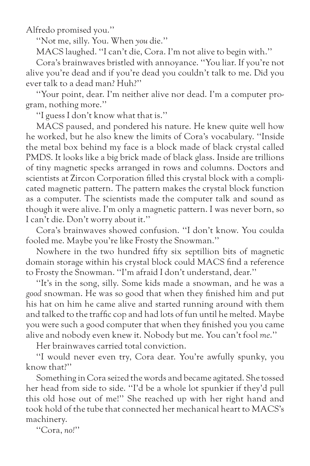Alfredo promised you."

"Not me, silly. You. When you die."

MACS laughed. "I can't die, Cora. I'm not alive to begin with."

Cora's brainwaves bristled with annoyance. "You liar. If you're not alive you're dead and if you're dead you couldn't talk to me. Did you ever talk to a dead man? Huh?"

"Your point, dear. I'm neither alive nor dead. I'm a computer program, nothing more."

"I guess I don't know what that is."

MACS paused, and pondered his nature. He knew quite well how he worked, but he also knew the limits of Cora's vocabulary. "Inside the metal box behind my face is a block made of black crystal called PMDS. It looks like a big brick made of black glass. Inside are trillions of tiny magnetic specks arranged in rows and columns. Doctors and scientists at Zircon Corporation filled this crystal block with a complicated magnetic pattern. The pattern makes the crystal block function as a computer. The scientists made the computer talk and sound as though it were alive. I'm only a magnetic pattern. I was never born, so I can't die. Don't worry about it."

Cora's brainwaves showed confusion. "I don't know. You coulda fooled me. Maybe you're like Frosty the Snowman."

Nowhere in the two hundred fifty six septillion bits of magnetic domain storage within his crystal block could MACS find a reference to Frosty the Snowman. "I'm afraid I don't understand, dear."

"It's in the song, silly. Some kids made a snowman, and he was a good snowman. He was so good that when they finished him and put his hat on him he came alive and started running around with them and talked to the traffic cop and had lots of fun until he melted. Maybe you were such a good computer that when they finished you you came alive and nobody even knew it. Nobody but me. You can't fool me."

Her brainwaves carried total conviction.

"I would never even try, Cora dear. You're awfully spunky, you know that?"

Something in Cora seized the words and became agitated. She tossed her head from side to side. "I'd be a whole lot spunkier if they'd pull this old hose out of me!" She reached up with her right hand and took hold of the tube that connected her mechanical heart to MACS's machinery.

"Cora, no!"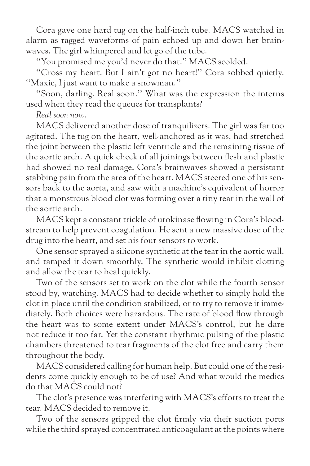Cora gave one hard tug on the half-inch tube. MACS watched in alarm as ragged waveforms of pain echoed up and down her brainwaves. The girl whimpered and let go of the tube.

"You promised me you'd never do that!" MACS scolded.

"Cross my heart. But I ain't got no heart!" Cora sobbed quietly. "Maxie, I just want to make a snowman."

"Soon, darling. Real soon." What was the expression the interns used when they read the queues for transplants?

Real soon now.

MACS delivered another dose of tranquilizers. The girl was far too agitated. The tug on the heart, well-anchored as it was, had stretched the joint between the plastic left ventricle and the remaining tissue of the aortic arch. A quick check of all joinings between flesh and plastic had showed no real damage. Cora's brainwaves showed a persistant stabbing pain from the area of the heart. MACS steered one of his sensors back to the aorta, and saw with a machine's equivalent of horror that a monstrous blood clot was forming over a tiny tear in the wall of the aortic arch.

MACS kept a constant trickle of urokinase flowing in Cora's bloodstream to help prevent coagulation. He sent a new massive dose of the drug into the heart, and set his four sensors to work.

One sensor sprayed a silicone synthetic at the tear in the aortic wall, and tamped it down smoothly. The synthetic would inhibit clotting and allow the tear to heal quickly.

Two of the sensors set to work on the clot while the fourth sensor stood by, watching. MACS had to decide whether to simply hold the clot in place until the condition stabilized, or to try to remove it immediately. Both choices were hazardous. The rate of blood flow through the heart was to some extent under MACS's control, but he dare not reduce it too far. Yet the constant rhythmic pulsing of the plastic chambers threatened to tear fragments of the clot free and carry them throughout the body.

MACS considered calling for human help. But could one of the residents come quickly enough to be of use? And what would the medics do that MACS could not?

The clot's presence was interfering with MACS's efforts to treat the tear. MACS decided to remove it.

Two of the sensors gripped the clot firmly via their suction ports while the third sprayed concentrated anticoagulant at the points where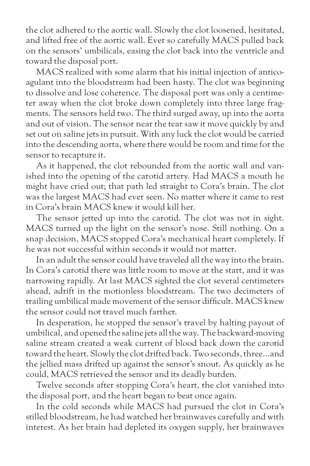the clot adhered to the aortic wall. Slowly the clot loosened, hesitated, and lifted free of the aortic wall. Ever so carefully MACS pulled back on the sensors' umbilicals, easing the clot back into the ventricle and toward the disposal port.

MACS realized with some alarm that his initial injection of anticoagulant into the bloodstream had been hasty. The clot was beginning to dissolve and lose coherence. The disposal port was only a centimeter away when the clot broke down completely into three large fragments. The sensors held two. The third surged away, up into the aorta and out of vision. The sensor near the tear saw it move quickly by and set out on saline jets in pursuit. With any luck the clot would be carried into the descending aorta, where there would be room and time for the sensor to recapture it.

As it happened, the clot rebounded from the aortic wall and vanished into the opening of the carotid artery. Had MACS a mouth he might have cried out; that path led straight to Cora's brain. The clot was the largest MACS had ever seen. No matter where it came to rest in Cora's brain MACS knew it would kill her.

The sensor jetted up into the carotid. The clot was not in sight. MACS turned up the light on the sensor's nose. Still nothing. On a snap decision, MACS stopped Cora's mechanical heart completely. If he was not successful within seconds it would not matter.

In an adult the sensor could have traveled all the way into the brain. In Cora's carotid there was little room to move at the start, and it was narrowing rapidly. At last MACS sighted the clot several centimeters ahead, adrift in the motionless bloodstream. The two decimeters of trailing umbilical made movement of the sensor difficult. MACS knew the sensor could not travel much farther.

In desperation, he stopped the sensor's travel by halting payout of umbilical, and opened the saline jets all the way. The backward-moving saline stream created a weak current of blood back down the carotid toward the heart. Slowly the clot drifted back. Two seconds, three...and the jellied mass drifted up against the sensor's snout. As quickly as he could, MACS retrieved the sensor and its deadly burden.

Twelve seconds after stopping Cora's heart, the clot vanished into the disposal port, and the heart began to beat once again.

In the cold seconds while MACS had pursued the clot in Cora's stilled bloodstream, he had watched her brainwaves carefully and with interest. As her brain had depleted its oxygen supply, her brainwaves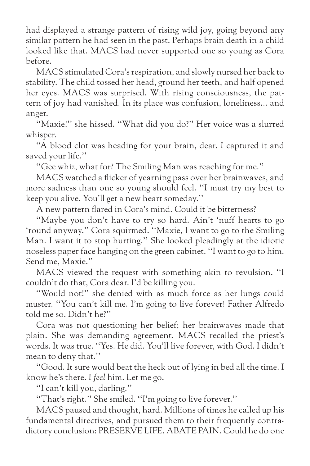had displayed a strange pattern of rising wild joy, going beyond any similar pattern he had seen in the past. Perhaps brain death in a child looked like that. MACS had never supported one so young as Cora before.

MACS stimulated Cora's respiration, and slowly nursed her back to stability. The child tossed her head, ground her teeth, and half opened her eyes. MACS was surprised. With rising consciousness, the pattern of joy had vanished. In its place was confusion, loneliness... and anger.

"Maxie!" she hissed. "What did you do?" Her voice was a slurred whisper.

"A blood clot was heading for your brain, dear. I captured it and saved your life."

"Gee whiz, what for? The Smiling Man was reaching for me."

MACS watched a flicker of yearning pass over her brainwaves, and more sadness than one so young should feel. "I must try my best to keep you alive. You'll get a new heart someday."

A new pattern flared in Cora's mind. Could it be bitterness?

"Maybe you don't have to try so hard. Ain't 'nuff hearts to go 'round anyway." Cora squirmed. "Maxie, I want to go to the Smiling Man. I want it to stop hurting." She looked pleadingly at the idiotic noseless paper face hanging on the green cabinet. "I want to go to him. Send me, Maxie."

MACS viewed the request with something akin to revulsion. "I couldn't do that, Cora dear. I'd be killing you.

"Would not!" she denied with as much force as her lungs could muster. "You can't kill me. I'm going to live forever! Father Alfredo told me so. Didn't he?"

Cora was not questioning her belief; her brainwaves made that plain. She was demanding agreement. MACS recalled the priest's words. It was true. "Yes. He did. You'll live forever, with God. I didn't mean to deny that."

"Good. It sure would beat the heck out of lying in bed all the time. I know he's there. I feel him. Let me go.

"I can't kill you, darling."

"That's right." She smiled. "I'm going to live forever."

MACS paused and thought, hard. Millions of times he called up his fundamental directives, and pursued them to their frequently contradictory conclusion: PRESERVE LIFE. ABATE PAIN. Could he do one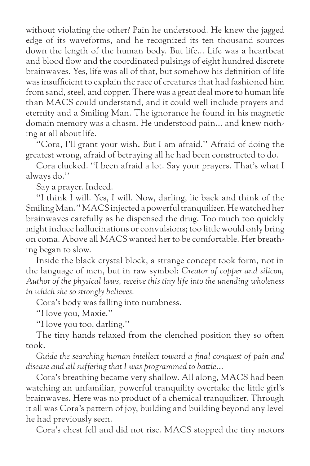without violating the other? Pain he understood. He knew the jagged edge of its waveforms, and he recognized its ten thousand sources down the length of the human body. But life... Life was a heartbeat and blood flow and the coordinated pulsings of eight hundred discrete brainwaves. Yes, life was all of that, but somehow his definition of life was insufficient to explain the race of creatures that had fashioned him from sand, steel, and copper. There was a great deal more to human life than MACS could understand, and it could well include prayers and eternity and a Smiling Man. The ignorance he found in his magnetic domain memory was a chasm. He understood pain... and knew nothing at all about life.

"Cora, I'll grant your wish. But I am afraid." Afraid of doing the greatest wrong, afraid of betraying all he had been constructed to do.

Cora clucked. "I been afraid a lot. Say your prayers. That's what I always do."

Say a prayer. Indeed.

"I think I will. Yes, I will. Now, darling, lie back and think of the Smiling Man." MACS injected a powerful tranquilizer. He watched her brainwaves carefully as he dispensed the drug. Too much too quickly might induce hallucinations or convulsions; too little would only bring on coma. Above all MACS wanted her to be comfortable. Her breathing began to slow.

Inside the black crystal block, a strange concept took form, not in the language of men, but in raw symbol: Creator of copper and silicon, Author of the physical laws, receive this tiny life into the unending wholeness in which she so strongly believes.

Cora's body was falling into numbness.

"I love you, Maxie."

"I love you too, darling."

The tiny hands relaxed from the clenched position they so often took.

Guide the searching human intellect toward a final conquest of pain and disease and all suffering that I was programmed to battle…

Cora's breathing became very shallow. All along, MACS had been watching an unfamiliar, powerful tranquility overtake the little girl's brainwaves. Here was no product of a chemical tranquilizer. Through it all was Cora's pattern of joy, building and building beyond any level he had previously seen.

Cora's chest fell and did not rise. MACS stopped the tiny motors